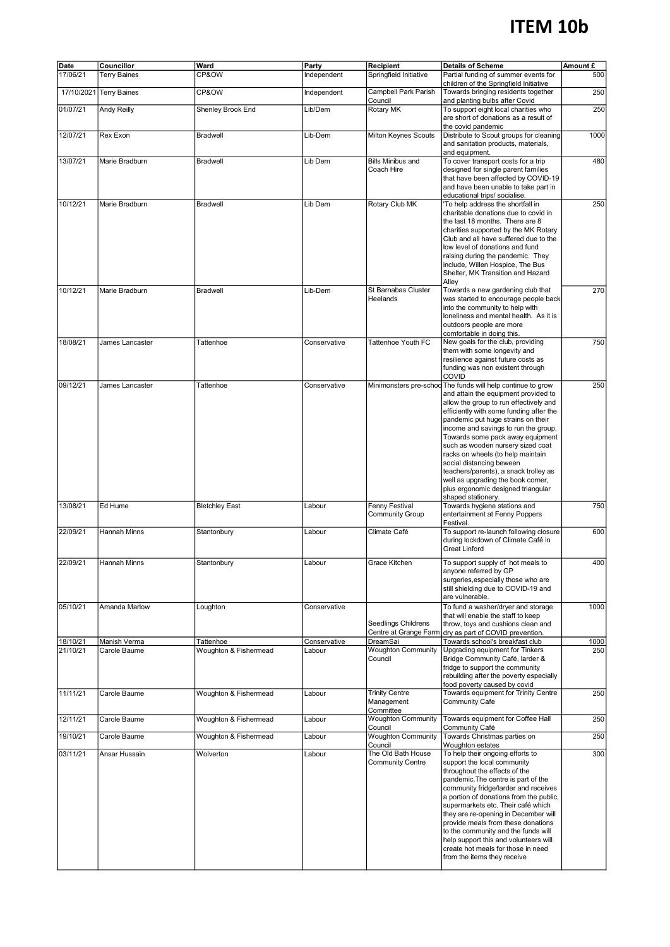## **ITEM 10b**

| Date                 | Councillor                   | Ward                               | Party                  | Recipient                                           | <b>Details of Scheme</b>                                                                                                                                                                                                                                                                                                                                                                                                                                                                                       | Amount £    |
|----------------------|------------------------------|------------------------------------|------------------------|-----------------------------------------------------|----------------------------------------------------------------------------------------------------------------------------------------------------------------------------------------------------------------------------------------------------------------------------------------------------------------------------------------------------------------------------------------------------------------------------------------------------------------------------------------------------------------|-------------|
| 17/06/21             | <b>Terry Baines</b>          | CP&OW                              | Independent            | Springfield Initiative                              | Partial funding of summer events for<br>children of the Springfield Initiative                                                                                                                                                                                                                                                                                                                                                                                                                                 | 500         |
|                      | 17/10/2021 Terry Baines      | CP&OW                              | Independent            | Campbell Park Parish<br>Council                     | Towards bringing residents together<br>and planting bulbs after Covid                                                                                                                                                                                                                                                                                                                                                                                                                                          | 250         |
| 01/07/21             | <b>Andy Reilly</b>           | Shenley Brook End                  | Lib/Dem                | Rotary MK                                           | To support eight local charities who<br>are short of donations as a result of<br>the covid pandemic                                                                                                                                                                                                                                                                                                                                                                                                            | 250         |
| 12/07/21             | Rex Exon                     | <b>Bradwell</b>                    | Lib-Dem                | Milton Keynes Scouts                                | Distribute to Scout groups for cleaning<br>and sanitation products, materials,<br>and equipment.                                                                                                                                                                                                                                                                                                                                                                                                               | 1000        |
| 13/07/21             | Marie Bradburn               | <b>Bradwell</b>                    | Lib Dem                | <b>Bills Minibus and</b><br>Coach Hire              | To cover transport costs for a trip<br>designed for single parent families<br>that have been affected by COVID-19<br>and have been unable to take part in<br>educational trips/ socialise.                                                                                                                                                                                                                                                                                                                     | 480         |
| 10/12/21             | Marie Bradburn               | <b>Bradwell</b>                    | Lib Dem                | Rotary Club MK                                      | To help address the shortfall in<br>charitable donations due to covid in<br>the last 18 months. There are 8<br>charities supported by the MK Rotary<br>Club and all have suffered due to the<br>low level of donations and fund<br>raising during the pandemic. They<br>include, Willen Hospice, The Bus<br>Shelter, MK Transition and Hazard<br>Alley                                                                                                                                                         | 250         |
| 10/12/21             | Marie Bradburn               | <b>Bradwell</b>                    | Lib-Dem                | St Barnabas Cluster<br>Heelands                     | Towards a new gardening club that<br>was started to encourage people back<br>into the community to help with<br>loneliness and mental health. As it is<br>outdoors people are more<br>comfortable in doing this.                                                                                                                                                                                                                                                                                               | 270         |
| 18/08/21             | James Lancaster              | Tattenhoe                          | Conservative           | Tattenhoe Youth FC                                  | New goals for the club, providing<br>them with some longevity and<br>resilience against future costs as<br>funding was non existent through<br>COVID                                                                                                                                                                                                                                                                                                                                                           | 750         |
| 09/12/21             | James Lancaster              | Tattenhoe                          | Conservative           | Minimonsters pre-schoc                              | The funds will help continue to grow<br>and attain the equipment provided to<br>allow the group to run effectively and<br>efficiently with some funding after the<br>pandemic put huge strains on their<br>income and savings to run the group.<br>Towards some pack away equipment<br>such as wooden nursery sized coat<br>racks on wheels (to help maintain<br>social distancing beween<br>teachers/parents), a snack trolley as<br>well as upgrading the book corner,<br>plus ergonomic designed triangular | 250         |
| 13/08/21             | Ed Hume                      | <b>Bletchley East</b>              | Labour                 | Fenny Festival<br><b>Community Group</b>            | shaped stationery.<br>Towards hygiene stations and<br>entertainment at Fenny Poppers                                                                                                                                                                                                                                                                                                                                                                                                                           | 750         |
| 22/09/21             | Hannah Minns                 | Stantonbury                        | Labour                 | Climate Café                                        | Festival.<br>To support re-launch following closure<br>during lockdown of Climate Café in<br><b>Great Linford</b>                                                                                                                                                                                                                                                                                                                                                                                              | 600         |
| 22/09/21             | <b>Hannah Minns</b>          | Stantonbury                        | Labour                 | Grace Kitchen                                       | To support supply of hot meals to<br>anyone referred by GP<br>surgeries, especially those who are<br>still shielding due to COVID-19 and<br>are vulnerable.                                                                                                                                                                                                                                                                                                                                                    | 400         |
| 05/10/21             | Amanda Marlow                | Loughton                           | Conservative           | <b>Seedlings Childrens</b><br>Centre at Grange Farm | To fund a washer/dryer and storage<br>that will enable the staff to keep<br>throw, toys and cushions clean and<br>dry as part of COVID prevention.                                                                                                                                                                                                                                                                                                                                                             | 1000        |
| 18/10/21<br>21/10/21 | Manish Verma<br>Carole Baume | Tattenhoe<br>Woughton & Fishermead | Conservative<br>Labour | DreamSai<br><b>Woughton Community</b><br>Council    | Towards school's breakfast club<br>Upgrading equipment for Tinkers<br>Bridge Community Café, larder &<br>fridge to support the community<br>rebuilding after the poverty especially<br>food poverty caused by covid                                                                                                                                                                                                                                                                                            | 1000<br>250 |
| 11/11/21             | Carole Baume                 | Woughton & Fishermead              | Labour                 | <b>Trinity Centre</b><br>Management                 | Towards equipment for Trinity Centre<br><b>Community Cafe</b>                                                                                                                                                                                                                                                                                                                                                                                                                                                  | 250         |
| 12/11/21             | Carole Baume                 | Woughton & Fishermead              | Labour                 | Committee<br><b>Woughton Community</b><br>Council   | Towards equipment for Coffee Hall<br>Community Café                                                                                                                                                                                                                                                                                                                                                                                                                                                            | 250         |
| 19/10/21             | Carole Baume                 | Woughton & Fishermead              | Labour                 | <b>Woughton Community</b><br>Council                | Towards Christmas parties on<br>Woughton estates                                                                                                                                                                                                                                                                                                                                                                                                                                                               | 250         |
| 03/11/21             | Ansar Hussain                | Wolverton                          | Labour                 | The Old Bath House<br><b>Community Centre</b>       | To help their ongoing efforts to<br>support the local community<br>throughout the effects of the<br>pandemic. The centre is part of the<br>community fridge/larder and receives<br>a portion of donations from the public,<br>supermarkets etc. Their café which<br>they are re-opening in December will<br>provide meals from these donations<br>to the community and the funds will<br>help support this and volunteers will<br>create hot meals for those in need<br>from the items they receive            | 300         |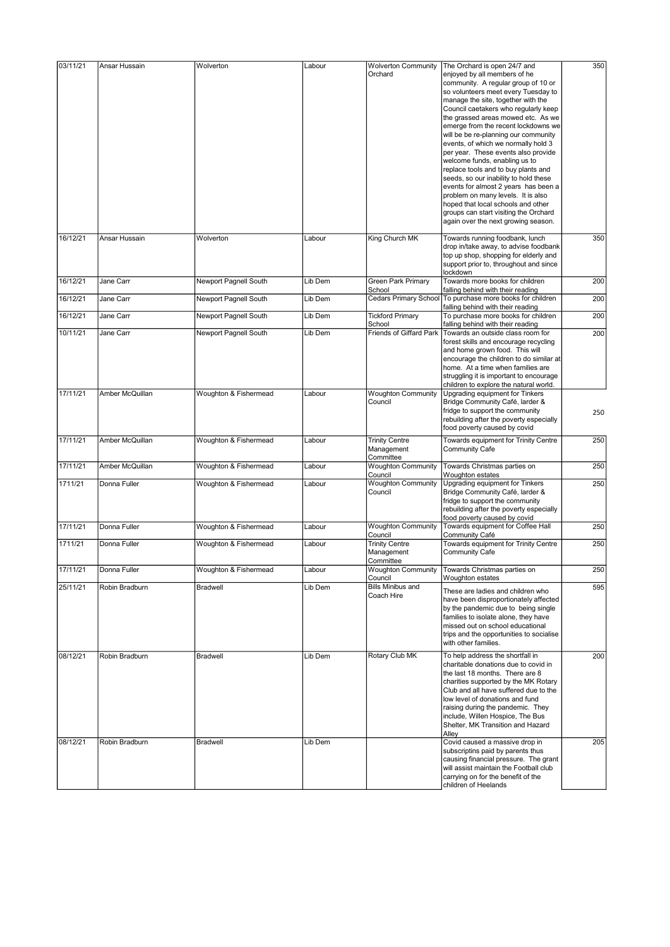| 03/11/21 | Ansar Hussain   | Wolverton             | Labour  | <b>Wolverton Community</b><br>Orchard            | The Orchard is open 24/7 and<br>enjoyed by all members of he<br>community. A regular group of 10 or                                                                                                                                                                                                                                                    | 350 |
|----------|-----------------|-----------------------|---------|--------------------------------------------------|--------------------------------------------------------------------------------------------------------------------------------------------------------------------------------------------------------------------------------------------------------------------------------------------------------------------------------------------------------|-----|
|          |                 |                       |         |                                                  | so volunteers meet every Tuesday to<br>manage the site, together with the<br>Council caetakers who regularly keep<br>the grassed areas mowed etc. As we<br>emerge from the recent lockdowns we<br>will be be re-planning our community                                                                                                                 |     |
|          |                 |                       |         |                                                  | events, of which we normally hold 3<br>per year. These events also provide<br>welcome funds, enabling us to<br>replace tools and to buy plants and<br>seeds, so our inability to hold these<br>events for almost 2 years has been a                                                                                                                    |     |
|          |                 |                       |         |                                                  | problem on many levels. It is also<br>hoped that local schools and other<br>groups can start visiting the Orchard<br>again over the next growing season.                                                                                                                                                                                               |     |
| 16/12/21 | Ansar Hussain   | Wolverton             | Labour  | King Church MK                                   | Towards running foodbank, lunch<br>drop in/take away, to advise foodbank<br>top up shop, shopping for elderly and<br>support prior to, throughout and since<br>lockdown                                                                                                                                                                                | 350 |
| 16/12/21 | Jane Carr       | Newport Pagnell South | Lib Dem | Green Park Primary<br>School                     | Towards more books for children<br>falling behind with their reading                                                                                                                                                                                                                                                                                   | 200 |
| 16/12/21 | Jane Carr       | Newport Pagnell South | Lib Dem | <b>Cedars Primary School</b>                     | To purchase more books for children<br>falling behind with their reading                                                                                                                                                                                                                                                                               | 200 |
| 16/12/21 | Jane Carr       | Newport Pagnell South | Lib Dem | <b>Tickford Primary</b><br>School                | To purchase more books for children<br>falling behind with their reading                                                                                                                                                                                                                                                                               | 200 |
| 10/11/21 | Jane Carr       | Newport Pagnell South | Lib Dem | Friends of Giffard Park                          | Towards an outside class room for<br>forest skills and encourage recycling<br>and home grown food. This will<br>encourage the children to do similar at<br>home. At a time when families are<br>struggling it is important to encourage<br>children to explore the natural world.                                                                      | 200 |
| 17/11/21 | Amber McQuillan | Woughton & Fishermead | Labour  | <b>Woughton Community</b><br>Council             | Upgrading equipment for Tinkers<br>Bridge Community Café, larder &<br>fridge to support the community<br>rebuilding after the poverty especially<br>food poverty caused by covid                                                                                                                                                                       | 250 |
| 17/11/21 | Amber McQuillan | Woughton & Fishermead | Labour  | <b>Trinity Centre</b><br>Management<br>Committee | Towards equipment for Trinity Centre<br><b>Community Cafe</b>                                                                                                                                                                                                                                                                                          | 250 |
| 17/11/21 | Amber McQuillan | Woughton & Fishermead | Labour  | <b>Woughton Community</b><br>Council             | Towards Christmas parties on<br>Woughton estates                                                                                                                                                                                                                                                                                                       | 250 |
| 1711/21  | Donna Fuller    | Woughton & Fishermead | Labour  | <b>Woughton Community</b><br>Council             | Upgrading equipment for Tinkers<br>Bridge Community Café, larder &<br>fridge to support the community<br>rebuilding after the poverty especially<br>food poverty caused by covid                                                                                                                                                                       | 250 |
| 17/11/21 | Donna Fuller    | Woughton & Fishermead | Labour  | <b>Woughton Community</b><br>Council             | Towards equipment for Coffee Hall<br>Community Café                                                                                                                                                                                                                                                                                                    | 250 |
| 1711/21  | Donna Fuller    | Woughton & Fishermead | Labour  | <b>Trinity Centre</b><br>Management<br>Committee | Towards equipment for Trinity Centre<br><b>Community Cafe</b>                                                                                                                                                                                                                                                                                          | 250 |
| 17/11/21 | Donna Fuller    | Woughton & Fishermead | Labour  | <b>Woughton Community</b><br>Council             | Towards Christmas parties on<br>Woughton estates                                                                                                                                                                                                                                                                                                       | 250 |
| 25/11/21 | Robin Bradburn  | <b>Bradwell</b>       | Lib Dem | <b>Bills Minibus and</b><br>Coach Hire           | These are ladies and children who<br>have been disproportionately affected<br>by the pandemic due to being single<br>families to isolate alone, they have<br>missed out on school educational<br>trips and the opportunities to socialise<br>with other families.                                                                                      | 595 |
| 08/12/21 | Robin Bradburn  | <b>Bradwell</b>       | Lib Dem | Rotary Club MK                                   | To help address the shortfall in<br>charitable donations due to covid in<br>the last 18 months. There are 8<br>charities supported by the MK Rotary<br>Club and all have suffered due to the<br>low level of donations and fund<br>raising during the pandemic. They<br>include, Willen Hospice, The Bus<br>Shelter, MK Transition and Hazard<br>Alley | 200 |
| 08/12/21 | Robin Bradburn  | <b>Bradwell</b>       | Lib Dem |                                                  | Covid caused a massive drop in<br>subscriptins paid by parents thus<br>causing financial pressure. The grant<br>will assist maintain the Football club<br>carrying on for the benefit of the<br>children of Heelands                                                                                                                                   | 205 |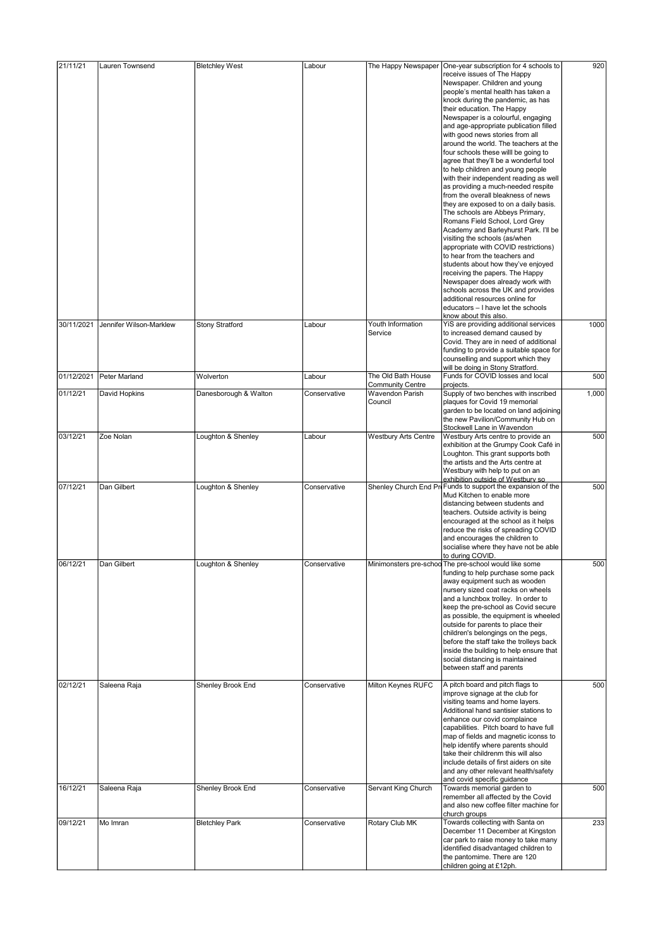| 21/11/21   | Lauren Townsend         | <b>Bletchley West</b>  | Labour       | The Happy Newspaper         | One-year subscription for 4 schools to                                   | 920   |
|------------|-------------------------|------------------------|--------------|-----------------------------|--------------------------------------------------------------------------|-------|
|            |                         |                        |              |                             | receive issues of The Happy                                              |       |
|            |                         |                        |              |                             | Newspaper. Children and young                                            |       |
|            |                         |                        |              |                             | people's mental health has taken a                                       |       |
|            |                         |                        |              |                             | knock during the pandemic, as has<br>their education. The Happy          |       |
|            |                         |                        |              |                             | Newspaper is a colourful, engaging                                       |       |
|            |                         |                        |              |                             | and age-appropriate publication filled                                   |       |
|            |                         |                        |              |                             | with good news stories from all                                          |       |
|            |                         |                        |              |                             | around the world. The teachers at the                                    |       |
|            |                         |                        |              |                             | four schools these will be going to                                      |       |
|            |                         |                        |              |                             | agree that they'll be a wonderful tool                                   |       |
|            |                         |                        |              |                             | to help children and young people                                        |       |
|            |                         |                        |              |                             | with their independent reading as well                                   |       |
|            |                         |                        |              |                             | as providing a much-needed respite                                       |       |
|            |                         |                        |              |                             | from the overall bleakness of news                                       |       |
|            |                         |                        |              |                             | they are exposed to on a daily basis.                                    |       |
|            |                         |                        |              |                             | The schools are Abbeys Primary,                                          |       |
|            |                         |                        |              |                             | Romans Field School, Lord Grey                                           |       |
|            |                         |                        |              |                             | Academy and Barleyhurst Park. I'll be                                    |       |
|            |                         |                        |              |                             | visiting the schools (as/when                                            |       |
|            |                         |                        |              |                             | appropriate with COVID restrictions)                                     |       |
|            |                         |                        |              |                             | to hear from the teachers and                                            |       |
|            |                         |                        |              |                             | students about how they've enjoyed                                       |       |
|            |                         |                        |              |                             | receiving the papers. The Happy                                          |       |
|            |                         |                        |              |                             | Newspaper does already work with                                         |       |
|            |                         |                        |              |                             | schools across the UK and provides                                       |       |
|            |                         |                        |              |                             | additional resources online for                                          |       |
|            |                         |                        |              |                             | educators - I have let the schools                                       |       |
|            |                         |                        |              |                             | know about this also.                                                    |       |
| 30/11/2021 | Jennifer Wilson-Marklew | <b>Stony Stratford</b> | Labour       | Youth Information           | YiS are providing additional services                                    | 1000  |
|            |                         |                        |              | Service                     | to increased demand caused by<br>Covid. They are in need of additional   |       |
|            |                         |                        |              |                             | funding to provide a suitable space for                                  |       |
|            |                         |                        |              |                             | counselling and support which they                                       |       |
|            |                         |                        |              |                             | will be doing in Stony Stratford.                                        |       |
| 01/12/2021 | Peter Marland           | Wolverton              | Labour       | The Old Bath House          | Funds for COVID losses and local                                         | 500   |
|            |                         |                        |              | <b>Community Centre</b>     | projects.                                                                |       |
| 01/12/21   | David Hopkins           | Danesborough & Walton  | Conservative | Wavendon Parish             | Supply of two benches with inscribed                                     | 1,000 |
|            |                         |                        |              | Council                     | plaques for Covid 19 memorial                                            |       |
|            |                         |                        |              |                             | garden to be located on land adjoining                                   |       |
|            |                         |                        |              |                             | the new Pavilion/Community Hub on                                        |       |
|            |                         |                        |              |                             | Stockwell Lane in Wavendon                                               |       |
| 03/12/21   | Zoe Nolan               | Loughton & Shenley     | Labour       | <b>Westbury Arts Centre</b> | Westbury Arts centre to provide an                                       | 500   |
|            |                         |                        |              |                             | exhibition at the Grumpy Cook Café in                                    |       |
|            |                         |                        |              |                             | Loughton. This grant supports both                                       |       |
|            |                         |                        |              |                             | the artists and the Arts centre at                                       |       |
|            |                         |                        |              |                             | Westbury with help to put on an                                          |       |
|            |                         |                        |              |                             | exhibition outside of Westbury so                                        |       |
| 07/12/21   | Dan Gilbert             | Loughton & Shenley     | Conservative |                             | Shenley Church End Pre Funds to support the expansion of the             | 500   |
|            |                         |                        |              |                             | Mud Kitchen to enable more                                               |       |
|            |                         |                        |              |                             | distancing between students and                                          |       |
|            |                         |                        |              |                             | teachers. Outside activity is being                                      |       |
|            |                         |                        |              |                             | encouraged at the school as it helps                                     |       |
|            |                         |                        |              |                             | reduce the risks of spreading COVID                                      |       |
|            |                         |                        |              |                             | and encourages the children to                                           |       |
|            |                         |                        |              |                             | socialise where they have not be able                                    |       |
|            |                         |                        |              |                             | to during COVID.                                                         |       |
| 06/12/21   | Dan Gilbert             | Loughton & Shenley     | Conservative | Minimonsters pre-scho       | The pre-school would like some                                           | 500   |
|            |                         |                        |              |                             | funding to help purchase some pack                                       |       |
|            |                         |                        |              |                             | away equipment such as wooden                                            |       |
|            |                         |                        |              |                             | nursery sized coat racks on wheels                                       |       |
|            |                         |                        |              |                             | and a lunchbox trolley. In order to                                      |       |
|            |                         |                        |              |                             | keep the pre-school as Covid secure                                      |       |
|            |                         |                        |              |                             | as possible, the equipment is wheeled                                    |       |
|            |                         |                        |              |                             | outside for parents to place their<br>children's belongings on the pegs, |       |
|            |                         |                        |              |                             | before the staff take the trolleys back                                  |       |
|            |                         |                        |              |                             | inside the building to help ensure that                                  |       |
|            |                         |                        |              |                             | social distancing is maintained                                          |       |
|            |                         |                        |              |                             | between staff and parents                                                |       |
|            |                         |                        |              |                             |                                                                          |       |
| 02/12/21   | Saleena Raja            | Shenley Brook End      | Conservative | Milton Keynes RUFC          | A pitch board and pitch flags to                                         | 500   |
|            |                         |                        |              |                             | improve signage at the club for                                          |       |
|            |                         |                        |              |                             | visiting teams and home layers.                                          |       |
|            |                         |                        |              |                             | Additional hand santisier stations to                                    |       |
|            |                         |                        |              |                             | enhance our covid complaince                                             |       |
|            |                         |                        |              |                             | capabilities. Pitch board to have full                                   |       |
|            |                         |                        |              |                             | map of fields and magnetic iconss to                                     |       |
|            |                         |                        |              |                             | help identify where parents should                                       |       |
|            |                         |                        |              |                             | take their childrenm this will also                                      |       |
|            |                         |                        |              |                             | include details of first aiders on site                                  |       |
|            |                         |                        |              |                             | and any other relevant health/safety                                     |       |
|            |                         |                        |              |                             | and covid specific guidance                                              |       |
| 16/12/21   | Saleena Raja            | Shenley Brook End      | Conservative | Servant King Church         | Towards memorial garden to                                               | 500   |
|            |                         |                        |              |                             | remember all affected by the Covid                                       |       |
|            |                         |                        |              |                             | and also new coffee filter machine for                                   |       |
|            |                         |                        |              |                             | church groups                                                            |       |
| 09/12/21   | Mo Imran                | <b>Bletchley Park</b>  | Conservative | Rotary Club MK              | Towards collecting with Santa on                                         | 233   |
|            |                         |                        |              |                             | December 11 December at Kingston                                         |       |
|            |                         |                        |              |                             | car park to raise money to take many                                     |       |
|            |                         |                        |              |                             | identified disadvantaged children to                                     |       |
|            |                         |                        |              |                             | the pantomime. There are 120                                             |       |
|            |                         |                        |              |                             | children going at £12ph.                                                 |       |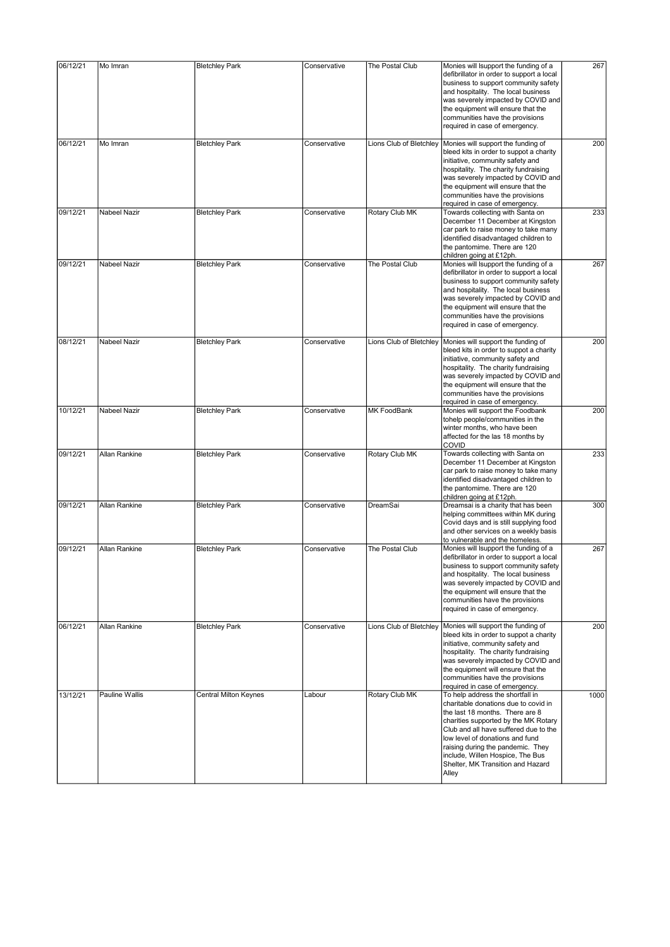| 06/12/21 | Mo Imran       | <b>Bletchley Park</b>        | Conservative | The Postal Club         | Monies will Isupport the funding of a<br>defibrillator in order to support a local<br>business to support community safety<br>and hospitality. The local business<br>was severely impacted by COVID and<br>the equipment will ensure that the<br>communities have the provisions<br>required in case of emergency.                                     | 267  |
|----------|----------------|------------------------------|--------------|-------------------------|--------------------------------------------------------------------------------------------------------------------------------------------------------------------------------------------------------------------------------------------------------------------------------------------------------------------------------------------------------|------|
| 06/12/21 | Mo Imran       | <b>Bletchley Park</b>        | Conservative | Lions Club of Bletchley | Monies will support the funding of<br>bleed kits in order to suppot a charity<br>initiative, community safety and<br>hospitality. The charity fundraising<br>was severely impacted by COVID and<br>the equipment will ensure that the<br>communities have the provisions<br>required in case of emergency.                                             | 200  |
| 09/12/21 | Nabeel Nazir   | <b>Bletchley Park</b>        | Conservative | Rotary Club MK          | Towards collecting with Santa on<br>December 11 December at Kingston<br>car park to raise money to take many<br>identified disadvantaged children to<br>the pantomime. There are 120<br>children going at £12ph.                                                                                                                                       | 233  |
| 09/12/21 | Nabeel Nazir   | <b>Bletchley Park</b>        | Conservative | The Postal Club         | Monies will Isupport the funding of a<br>defibrillator in order to support a local<br>business to support community safety<br>and hospitality. The local business<br>was severely impacted by COVID and<br>the equipment will ensure that the<br>communities have the provisions<br>required in case of emergency.                                     | 267  |
| 08/12/21 | Nabeel Nazir   | <b>Bletchley Park</b>        | Conservative | Lions Club of Bletchley | Monies will support the funding of<br>bleed kits in order to suppot a charity<br>initiative, community safety and<br>hospitality. The charity fundraising<br>was severely impacted by COVID and<br>the equipment will ensure that the<br>communities have the provisions<br>required in case of emergency.                                             | 200  |
| 10/12/21 | Nabeel Nazir   | <b>Bletchley Park</b>        | Conservative | MK FoodBank             | Monies will support the Foodbank<br>tohelp people/communities in the<br>winter months, who have been<br>affected for the las 18 months by<br><b>COVID</b>                                                                                                                                                                                              | 200  |
| 09/12/21 | Allan Rankine  | <b>Bletchley Park</b>        | Conservative | Rotary Club MK          | Towards collecting with Santa on<br>December 11 December at Kingston<br>car park to raise money to take many<br>identified disadvantaged children to<br>the pantomime. There are 120<br>children going at £12ph.                                                                                                                                       | 233  |
| 09/12/21 | Allan Rankine  | <b>Bletchley Park</b>        | Conservative | DreamSai                | Dreamsai is a charity that has been<br>helping committees within MK during<br>Covid days and is still supplying food<br>and other services on a weekly basis<br>to vulnerable and the homeless.                                                                                                                                                        | 300  |
| 09/12/21 | Allan Rankine  | <b>Bletchley Park</b>        | Conservative | The Postal Club         | Monies will Isupport the funding of a<br>defibrillator in order to support a local<br>business to support community safety<br>and hospitality. The local business<br>was severely impacted by COVID and<br>the equipment will ensure that the<br>communities have the provisions<br>required in case of emergency.                                     | 267  |
| 06/12/21 | Allan Rankine  | <b>Bletchley Park</b>        | Conservative | Lions Club of Bletchley | Monies will support the funding of<br>bleed kits in order to suppot a charity<br>initiative, community safety and<br>hospitality. The charity fundraising<br>was severely impacted by COVID and<br>the equipment will ensure that the<br>communities have the provisions<br>required in case of emergency.                                             | 200  |
| 13/12/21 | Pauline Wallis | <b>Central Milton Keynes</b> | Labour       | Rotary Club MK          | To help address the shortfall in<br>charitable donations due to covid in<br>the last 18 months. There are 8<br>charities supported by the MK Rotary<br>Club and all have suffered due to the<br>low level of donations and fund<br>raising during the pandemic. They<br>include, Willen Hospice, The Bus<br>Shelter, MK Transition and Hazard<br>Alley | 1000 |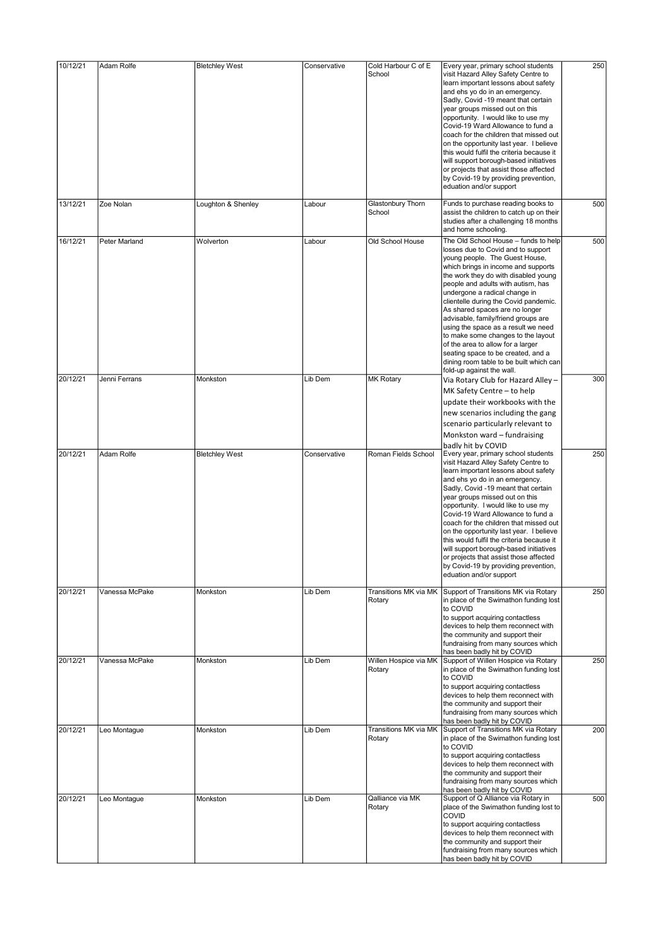| 10/12/21 | Adam Rolfe     | <b>Bletchley West</b> | Conservative | Cold Harbour C of E             | Every year, primary school students                                                                                                                                                                                                                                                                                                                                                                                                                                                                                                                                                                                      | 250 |
|----------|----------------|-----------------------|--------------|---------------------------------|--------------------------------------------------------------------------------------------------------------------------------------------------------------------------------------------------------------------------------------------------------------------------------------------------------------------------------------------------------------------------------------------------------------------------------------------------------------------------------------------------------------------------------------------------------------------------------------------------------------------------|-----|
|          |                |                       |              | School                          | visit Hazard Alley Safety Centre to<br>learn important lessons about safety<br>and ehs yo do in an emergency.<br>Sadly, Covid -19 meant that certain<br>year groups missed out on this<br>opportunity. I would like to use my<br>Covid-19 Ward Allowance to fund a<br>coach for the children that missed out<br>on the opportunity last year. I believe<br>this would fulfil the criteria because it<br>will support borough-based initiatives<br>or projects that assist those affected<br>by Covid-19 by providing prevention,<br>eduation and/or support                                                              |     |
| 13/12/21 | Zoe Nolan      | Loughton & Shenley    | Labour       | Glastonbury Thorn<br>School     | Funds to purchase reading books to<br>assist the children to catch up on their<br>studies after a challenging 18 months<br>and home schooling.                                                                                                                                                                                                                                                                                                                                                                                                                                                                           | 500 |
| 16/12/21 | Peter Marland  | Wolverton             | Labour       | Old School House                | The Old School House - funds to help<br>losses due to Covid and to support<br>young people. The Guest House,<br>which brings in income and supports<br>the work they do with disabled young<br>people and adults with autism, has<br>undergone a radical change in<br>clientelle during the Covid pandemic.<br>As shared spaces are no longer<br>advisable, family/friend groups are<br>using the space as a result we need<br>to make some changes to the layout<br>of the area to allow for a larger<br>seating space to be created, and a<br>dining room table to be built which can<br>fold-up against the wall.     | 500 |
| 20/12/21 | Jenni Ferrans  | Monkston              | Lib Dem      | <b>MK Rotary</b>                | Via Rotary Club for Hazard Alley -<br>MK Safety Centre - to help<br>update their workbooks with the<br>new scenarios including the gang<br>scenario particularly relevant to<br>Monkston ward - fundraising                                                                                                                                                                                                                                                                                                                                                                                                              | 300 |
| 20/12/21 | Adam Rolfe     | <b>Bletchley West</b> | Conservative | Roman Fields School             | badly hit by COVID<br>Every year, primary school students<br>visit Hazard Alley Safety Centre to<br>learn important lessons about safety<br>and ehs yo do in an emergency.<br>Sadly, Covid -19 meant that certain<br>year groups missed out on this<br>opportunity. I would like to use my<br>Covid-19 Ward Allowance to fund a<br>coach for the children that missed out<br>on the opportunity last year. I believe<br>this would fulfil the criteria because it<br>will support borough-based initiatives<br>or projects that assist those affected<br>by Covid-19 by providing prevention,<br>eduation and/or support | 250 |
| 20/12/21 | Vanessa McPake | Monkston              | Lib Dem      | Transitions MK via MK<br>Rotary | Support of Transitions MK via Rotary<br>in place of the Swimathon funding lost<br>to COVID<br>to support acquiring contactless<br>devices to help them reconnect with<br>the community and support their<br>fundraising from many sources which<br>has been badly hit by COVID                                                                                                                                                                                                                                                                                                                                           | 250 |
| 20/12/21 | Vanessa McPake | Monkston              | Lib Dem      | Willen Hospice via MK<br>Rotary | Support of Willen Hospice via Rotary<br>in place of the Swimathon funding lost<br>to COVID<br>to support acquiring contactless<br>devices to help them reconnect with<br>the community and support their<br>fundraising from many sources which<br>has been badly hit by COVID                                                                                                                                                                                                                                                                                                                                           | 250 |
| 20/12/21 | Leo Montague   | Monkston              | Lib Dem      | Transitions MK via MK<br>Rotary | Support of Transitions MK via Rotary<br>in place of the Swimathon funding lost<br>to COVID<br>to support acquiring contactless<br>devices to help them reconnect with<br>the community and support their<br>fundraising from many sources which<br>has been badly hit by COVID                                                                                                                                                                                                                                                                                                                                           | 200 |
| 20/12/21 | Leo Montague   | Monkston              | Lib Dem      | Qalliance via MK<br>Rotary      | Support of Q Alliance via Rotary in<br>place of the Swimathon funding lost to<br><b>COVID</b><br>to support acquiring contactless<br>devices to help them reconnect with<br>the community and support their<br>fundraising from many sources which<br>has been badly hit by COVID                                                                                                                                                                                                                                                                                                                                        | 500 |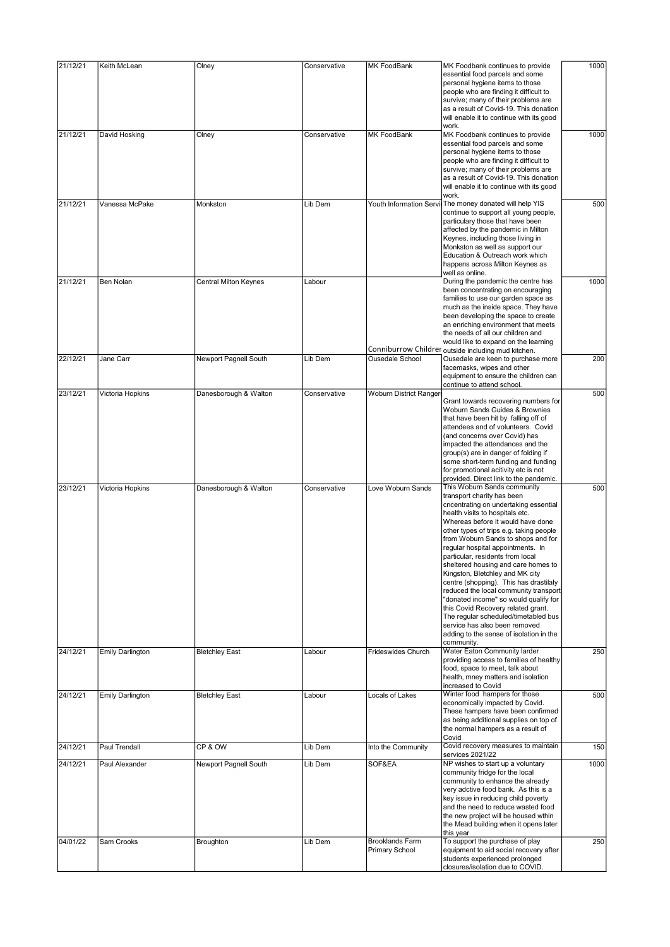| 21/12/21 | Keith McLean            | Olney                 | Conservative | <b>MK FoodBank</b>                              | MK Foodbank continues to provide<br>essential food parcels and some<br>personal hygiene items to those<br>people who are finding it difficult to<br>survive; many of their problems are<br>as a result of Covid-19. This donation<br>will enable it to continue with its good<br>work.                                                                                                                                                                                                                                                                                                                                                                                                                                                                       | 1000 |
|----------|-------------------------|-----------------------|--------------|-------------------------------------------------|--------------------------------------------------------------------------------------------------------------------------------------------------------------------------------------------------------------------------------------------------------------------------------------------------------------------------------------------------------------------------------------------------------------------------------------------------------------------------------------------------------------------------------------------------------------------------------------------------------------------------------------------------------------------------------------------------------------------------------------------------------------|------|
| 21/12/21 | David Hosking           | Olney                 | Conservative | <b>MK FoodBank</b>                              | MK Foodbank continues to provide<br>essential food parcels and some<br>personal hygiene items to those<br>people who are finding it difficult to<br>survive; many of their problems are<br>as a result of Covid-19. This donation<br>will enable it to continue with its good<br>work.                                                                                                                                                                                                                                                                                                                                                                                                                                                                       | 1000 |
| 21/12/21 | Vanessa McPake          | Monkston              | Lib Dem      | Youth Information Servi                         | The money donated will help YIS<br>continue to support all young people,<br>particulary those that have been<br>affected by the pandemic in Milton<br>Keynes, including those living in<br>Monkston as well as support our<br>Education & Outreach work which<br>happens across Milton Keynes as<br>well as online.                                                                                                                                                                                                                                                                                                                                                                                                                                          | 500  |
| 21/12/21 | Ben Nolan               | Central Milton Keynes | Labour       | Conniburrow Childrer                            | During the pandemic the centre has<br>been concentrating on encouraging<br>families to use our garden space as<br>much as the inside space. They have<br>been developing the space to create<br>an enriching environment that meets<br>the needs of all our children and<br>would like to expand on the learning<br>outside including mud kitchen.                                                                                                                                                                                                                                                                                                                                                                                                           | 1000 |
| 22/12/21 | Jane Carr               | Newport Pagnell South | Lib Dem      | <b>Ousedale School</b>                          | Ousedale are keen to purchase more<br>facemasks, wipes and other<br>equipment to ensure the children can<br>continue to attend school.                                                                                                                                                                                                                                                                                                                                                                                                                                                                                                                                                                                                                       | 200  |
| 23/12/21 | Victoria Hopkins        | Danesborough & Walton | Conservative | Woburn District Ranger                          | Grant towards recovering numbers for<br>Woburn Sands Guides & Brownies<br>that have been hit by falling off of<br>attendees and of volunteers. Covid<br>(and concerns over Covid) has<br>impacted the attendances and the<br>group(s) are in danger of folding if<br>some short-term funding and funding<br>for promotional acitivity etc is not                                                                                                                                                                                                                                                                                                                                                                                                             | 500  |
| 23/12/21 | Victoria Hopkins        | Danesborough & Walton | Conservative | Love Woburn Sands                               | provided. Direct link to the pandemic.<br>This Woburn Sands community<br>transport charity has been<br>cncentrating on undertaking essential<br>health visits to hospitals etc.<br>Whereas before it would have done<br>other types of trips e.g. taking people<br>from Woburn Sands to shops and for<br>regular hospital appointments. In<br>particular, residents from local<br>sheltered housing and care homes to<br>Kingston, Bletchley and MK city<br>centre (shopping). This has drastilaly<br>reduced the local community transport<br>'donated income" so would qualify for<br>this Covid Recovery related grant.<br>The regular scheduled/timetabled bus<br>service has also been removed<br>adding to the sense of isolation in the<br>community. | 500  |
| 24/12/21 | <b>Emily Darlington</b> | <b>Bletchley East</b> | Labour       | Frideswides Church                              | Water Eaton Community larder<br>providing access to families of healthy<br>food, space to meet, talk about<br>health, mney matters and isolation<br>increased to Covid                                                                                                                                                                                                                                                                                                                                                                                                                                                                                                                                                                                       | 250  |
| 24/12/21 | <b>Emily Darlington</b> | <b>Bletchley East</b> | Labour       | Locals of Lakes                                 | Winter food hampers for those<br>economically impacted by Covid.<br>These hampers have been confirmed<br>as being additional supplies on top of<br>the normal hampers as a result of<br>Covid                                                                                                                                                                                                                                                                                                                                                                                                                                                                                                                                                                | 500  |
| 24/12/21 | Paul Trendall           | CP & OW               | Lib Dem      | Into the Community                              | Covid recovery measures to maintain                                                                                                                                                                                                                                                                                                                                                                                                                                                                                                                                                                                                                                                                                                                          | 150  |
| 24/12/21 | Paul Alexander          | Newport Pagnell South | Lib Dem      | SOF&EA                                          | services 2021/22<br>NP wishes to start up a voluntary<br>community fridge for the local<br>community to enhance the already<br>very adctive food bank. As this is a<br>key issue in reducing child poverty<br>and the need to reduce wasted food<br>the new project will be housed wthin<br>the Mead building when it opens later<br>this year                                                                                                                                                                                                                                                                                                                                                                                                               | 1000 |
| 04/01/22 | Sam Crooks              | Broughton             | Lib Dem      | <b>Brooklands Farm</b><br><b>Primary School</b> | To support the purchase of play<br>equipment to aid social recovery after<br>students experienced prolonged<br>closures/isolation due to COVID.                                                                                                                                                                                                                                                                                                                                                                                                                                                                                                                                                                                                              | 250  |